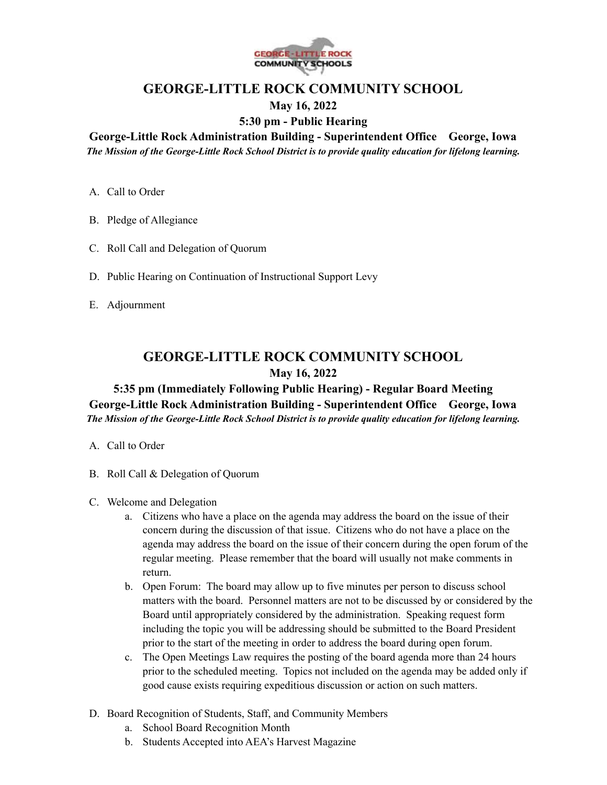

## **GEORGE-LITTLE ROCK COMMUNITY SCHOOL May 16, 2022**

# **5:30 pm - Public Hearing**

**George-Little Rock Administration Building - Superintendent Office George, Iowa** *The Mission of the George-Little Rock School District is to provide quality education for lifelong learning.*

- A. Call to Order
- B. Pledge of Allegiance
- C. Roll Call and Delegation of Quorum
- D. Public Hearing on Continuation of Instructional Support Levy
- E. Adjournment

# **GEORGE-LITTLE ROCK COMMUNITY SCHOOL May 16, 2022**

## **5:35 pm (Immediately Following Public Hearing) - Regular Board Meeting George-Little Rock Administration Building - Superintendent Office George, Iowa** *The Mission of the George-Little Rock School District is to provide quality education for lifelong learning.*

- A. Call to Order
- B. Roll Call & Delegation of Quorum
- C. Welcome and Delegation
	- a. Citizens who have a place on the agenda may address the board on the issue of their concern during the discussion of that issue. Citizens who do not have a place on the agenda may address the board on the issue of their concern during the open forum of the regular meeting. Please remember that the board will usually not make comments in return.
	- b. Open Forum: The board may allow up to five minutes per person to discuss school matters with the board. Personnel matters are not to be discussed by or considered by the Board until appropriately considered by the administration. Speaking request form including the topic you will be addressing should be submitted to the Board President prior to the start of the meeting in order to address the board during open forum.
	- c. The Open Meetings Law requires the posting of the board agenda more than 24 hours prior to the scheduled meeting. Topics not included on the agenda may be added only if good cause exists requiring expeditious discussion or action on such matters.
- D. Board Recognition of Students, Staff, and Community Members
	- a. School Board Recognition Month
	- b. Students Accepted into AEA's Harvest Magazine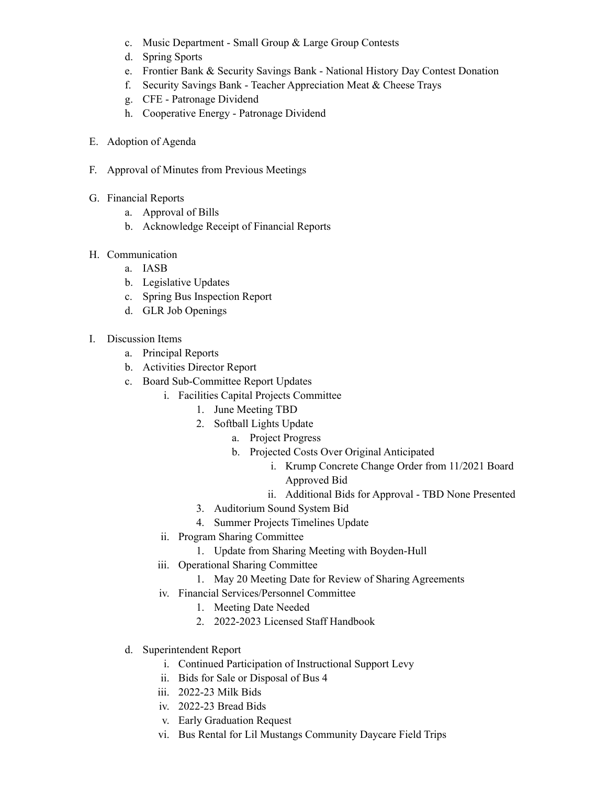- c. Music Department Small Group & Large Group Contests
- d. Spring Sports
- e. Frontier Bank & Security Savings Bank National History Day Contest Donation
- f. Security Savings Bank Teacher Appreciation Meat & Cheese Trays
- g. CFE Patronage Dividend
- h. Cooperative Energy Patronage Dividend
- E. Adoption of Agenda
- F. Approval of Minutes from Previous Meetings
- G. Financial Reports
	- a. Approval of Bills
	- b. Acknowledge Receipt of Financial Reports
- H. Communication
	- a. IASB
	- b. Legislative Updates
	- c. Spring Bus Inspection Report
	- d. GLR Job Openings
- I. Discussion Items
	- a. Principal Reports
	- b. Activities Director Report
	- c. Board Sub-Committee Report Updates
		- i. Facilities Capital Projects Committee
			- 1. June Meeting TBD
			- 2. Softball Lights Update
				- a. Project Progress
					- b. Projected Costs Over Original Anticipated
						- i. Krump Concrete Change Order from 11/2021 Board Approved Bid
						- ii. Additional Bids for Approval TBD None Presented
			- 3. Auditorium Sound System Bid
			- 4. Summer Projects Timelines Update
		- ii. Program Sharing Committee
			- 1. Update from Sharing Meeting with Boyden-Hull
		- iii. Operational Sharing Committee
			- 1. May 20 Meeting Date for Review of Sharing Agreements
		- iv. Financial Services/Personnel Committee
			- 1. Meeting Date Needed
			- 2. 2022-2023 Licensed Staff Handbook
	- d. Superintendent Report
		- i. Continued Participation of Instructional Support Levy
		- ii. Bids for Sale or Disposal of Bus 4
		- iii. 2022-23 Milk Bids
		- iv. 2022-23 Bread Bids
		- v. Early Graduation Request
		- vi. Bus Rental for Lil Mustangs Community Daycare Field Trips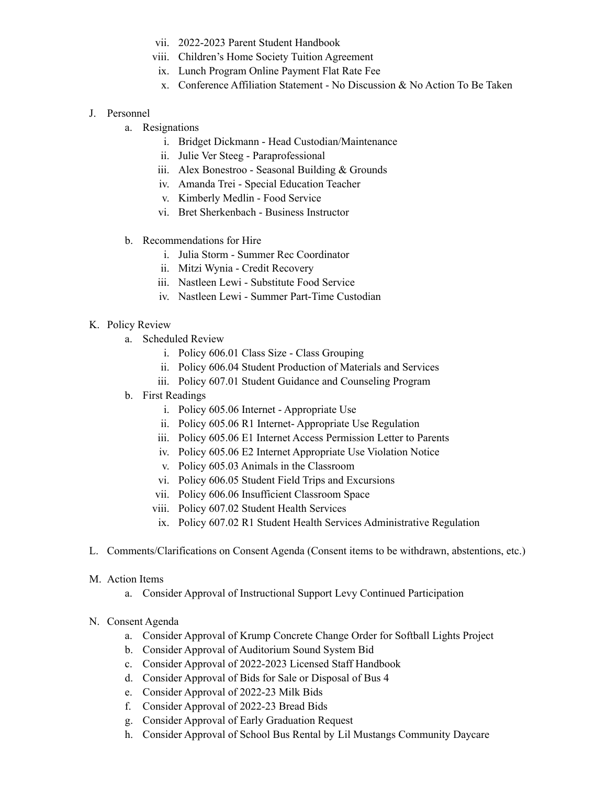- vii. 2022-2023 Parent Student Handbook
- viii. Children's Home Society Tuition Agreement
- ix. Lunch Program Online Payment Flat Rate Fee
- x. Conference Affiliation Statement No Discussion & No Action To Be Taken

### J. Personnel

- a. Resignations
	- i. Bridget Dickmann Head Custodian/Maintenance
	- ii. Julie Ver Steeg Paraprofessional
	- iii. Alex Bonestroo Seasonal Building & Grounds
	- iv. Amanda Trei Special Education Teacher
	- v. Kimberly Medlin Food Service
	- vi. Bret Sherkenbach Business Instructor
- b. Recommendations for Hire
	- i. Julia Storm Summer Rec Coordinator
	- ii. Mitzi Wynia Credit Recovery
	- iii. Nastleen Lewi Substitute Food Service
	- iv. Nastleen Lewi Summer Part-Time Custodian

### K. Policy Review

- a. Scheduled Review
	- i. Policy 606.01 Class Size Class Grouping
	- ii. Policy 606.04 Student Production of Materials and Services
	- iii. Policy 607.01 Student Guidance and Counseling Program
- b. First Readings
	- i. Policy 605.06 Internet Appropriate Use
	- ii. Policy 605.06 R1 Internet- Appropriate Use Regulation
	- iii. Policy 605.06 E1 Internet Access Permission Letter to Parents
	- iv. Policy 605.06 E2 Internet Appropriate Use Violation Notice
	- v. Policy 605.03 Animals in the Classroom
	- vi. Policy 606.05 Student Field Trips and Excursions
	- vii. Policy 606.06 Insufficient Classroom Space
	- viii. Policy 607.02 Student Health Services
	- ix. Policy 607.02 R1 Student Health Services Administrative Regulation
- L. Comments/Clarifications on Consent Agenda (Consent items to be withdrawn, abstentions, etc.)
- M. Action Items
	- a. Consider Approval of Instructional Support Levy Continued Participation
- N. Consent Agenda
	- a. Consider Approval of Krump Concrete Change Order for Softball Lights Project
	- b. Consider Approval of Auditorium Sound System Bid
	- c. Consider Approval of 2022-2023 Licensed Staff Handbook
	- d. Consider Approval of Bids for Sale or Disposal of Bus 4
	- e. Consider Approval of 2022-23 Milk Bids
	- f. Consider Approval of 2022-23 Bread Bids
	- g. Consider Approval of Early Graduation Request
	- h. Consider Approval of School Bus Rental by Lil Mustangs Community Daycare